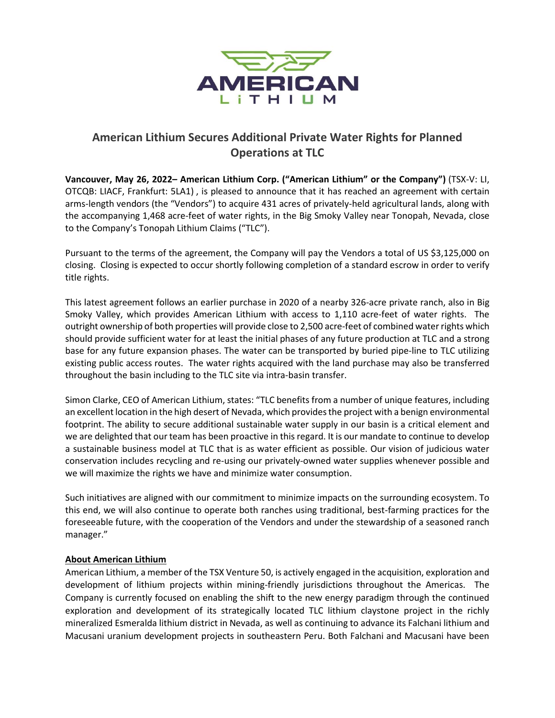

# **American Lithium Secures Additional Private Water Rights for Planned Operations at TLC**

**Vancouver, May 26, 2022– American Lithium Corp. ("American Lithium" or the Company")** (TSX-V: LI, OTCQB: LIACF, Frankfurt: 5LA1) , is pleased to announce that it has reached an agreement with certain arms-length vendors (the "Vendors") to acquire 431 acres of privately-held agricultural lands, along with the accompanying 1,468 acre-feet of water rights, in the Big Smoky Valley near Tonopah, Nevada, close to the Company's Tonopah Lithium Claims ("TLC").

Pursuant to the terms of the agreement, the Company will pay the Vendors a total of US \$3,125,000 on closing. Closing is expected to occur shortly following completion of a standard escrow in order to verify title rights.

This latest agreement follows an earlier purchase in 2020 of a nearby 326-acre private ranch, also in Big Smoky Valley, which provides American Lithium with access to 1,110 acre-feet of water rights. The outright ownership of both properties will provide close to 2,500 acre-feet of combined water rights which should provide sufficient water for at least the initial phases of any future production at TLC and a strong base for any future expansion phases. The water can be transported by buried pipe-line to TLC utilizing existing public access routes. The water rights acquired with the land purchase may also be transferred throughout the basin including to the TLC site via intra-basin transfer.

Simon Clarke, CEO of American Lithium, states: "TLC benefits from a number of unique features, including an excellent location in the high desert of Nevada, which provides the project with a benign environmental footprint. The ability to secure additional sustainable water supply in our basin is a critical element and we are delighted that our team has been proactive in this regard. It is our mandate to continue to develop a sustainable business model at TLC that is as water efficient as possible. Our vision of judicious water conservation includes recycling and re-using our privately-owned water supplies whenever possible and we will maximize the rights we have and minimize water consumption.

Such initiatives are aligned with our commitment to minimize impacts on the surrounding ecosystem. To this end, we will also continue to operate both ranches using traditional, best-farming practices for the foreseeable future, with the cooperation of the Vendors and under the stewardship of a seasoned ranch manager."

# **About American Lithium**

American Lithium, a member of the TSX Venture 50, is actively engaged in the acquisition, exploration and development of lithium projects within mining-friendly jurisdictions throughout the Americas. The Company is currently focused on enabling the shift to the new energy paradigm through the continued exploration and development of its strategically located TLC lithium claystone project in the richly mineralized Esmeralda lithium district in Nevada, as well as continuing to advance its Falchani lithium and Macusani uranium development projects in southeastern Peru. Both Falchani and Macusani have been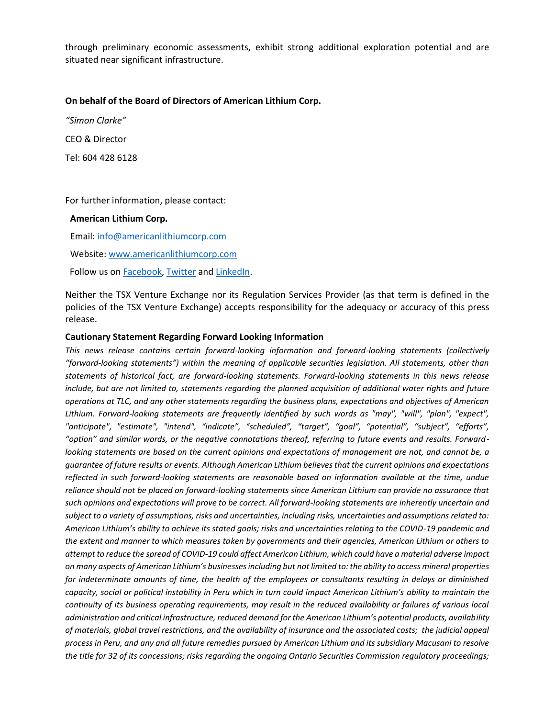through preliminary economic assessments, exhibit strong additional exploration potential and are situated near significant infrastructure.

# **On behalf of the Board of Directors of American Lithium Corp.**

*"Simon Clarke"* CEO & Director Tel: 604 428 6128

For further information, please contact:

### **American Lithium Corp.**

Email: info@americanlithiumcorp.com Website: www.americanlithiumcorp.com Follow us on Facebook, Twitter and LinkedIn.

Neither the TSX Venture Exchange nor its Regulation Services Provider (as that term is defined in the policies of the TSX Venture Exchange) accepts responsibility for the adequacy or accuracy of this press release.

# **Cautionary Statement Regarding Forward Looking Information**

*This news release contains certain forward-looking information and forward-looking statements (collectively "forward-looking statements") within the meaning of applicable securities legislation. All statements, other than statements of historical fact, are forward-looking statements. Forward-looking statements in this news release include, but are not limited to, statements regarding the planned acquisition of additional water rights and future operations at TLC, and any other statements regarding the business plans, expectations and objectives of American Lithium. Forward-looking statements are frequently identified by such words as "may", "will", "plan", "expect", "anticipate", "estimate", "intend", "indicate", "scheduled", "target", "goal", "potential", "subject", "efforts", "option" and similar words, or the negative connotations thereof, referring to future events and results. Forwardlooking statements are based on the current opinions and expectations of management are not, and cannot be, a guarantee of future results or events. Although American Lithium believes that the current opinions and expectations reflected in such forward-looking statements are reasonable based on information available at the time, undue reliance should not be placed on forward-looking statements since American Lithium can provide no assurance that such opinions and expectations will prove to be correct. All forward-looking statements are inherently uncertain and subject to a variety of assumptions, risks and uncertainties, including risks, uncertainties and assumptions related to: American Lithium's ability to achieve its stated goals; risks and uncertainties relating to the COVID-19 pandemic and the extent and manner to which measures taken by governments and their agencies, American Lithium or others to attempt to reduce the spread of COVID-19 could affect American Lithium, which could have a material adverse impact on many aspects of American Lithium's businesses including but not limited to: the ability to access mineral properties for indeterminate amounts of time, the health of the employees or consultants resulting in delays or diminished capacity, social or political instability in Peru which in turn could impact American Lithium's ability to maintain the continuity of its business operating requirements, may result in the reduced availability or failures of various local administration and critical infrastructure, reduced demand for the American Lithium's potential products, availability of materials, global travel restrictions, and the availability of insurance and the associated costs; the judicial appeal process in Peru, and any and all future remedies pursued by American Lithium and its subsidiary Macusani to resolve the title for 32 of its concessions; risks regarding the ongoing Ontario Securities Commission regulatory proceedings;*